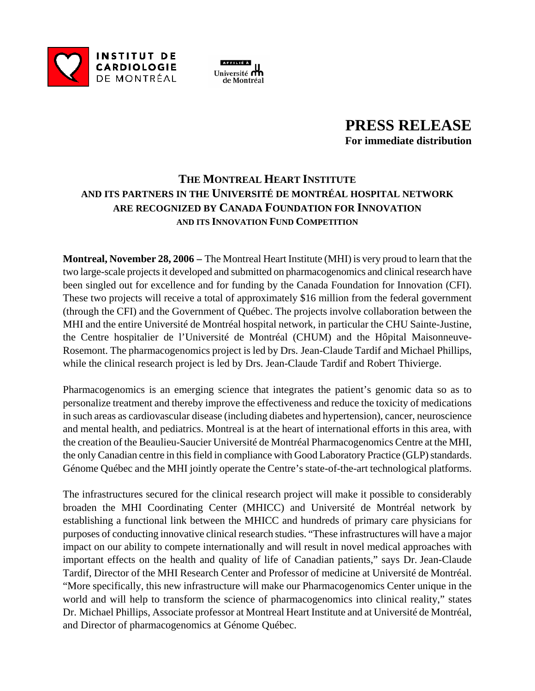



## **PRESS RELEASE For immediate distribution**

## **THE MONTREAL HEART INSTITUTE AND ITS PARTNERS IN THE UNIVERSITÉ DE MONTRÉAL HOSPITAL NETWORK ARE RECOGNIZED BY CANADA FOUNDATION FOR INNOVATION AND ITS INNOVATION FUND COMPETITION**

**Montreal, November 28, 2006 –** The Montreal Heart Institute (MHI) is very proud to learn that the two large-scale projects it developed and submitted on pharmacogenomics and clinical research have been singled out for excellence and for funding by the Canada Foundation for Innovation (CFI). These two projects will receive a total of approximately \$16 million from the federal government (through the CFI) and the Government of Québec. The projects involve collaboration between the MHI and the entire Université de Montréal hospital network, in particular the CHU Sainte-Justine, the Centre hospitalier de l'Université de Montréal (CHUM) and the Hôpital Maisonneuve-Rosemont. The pharmacogenomics project is led by Drs. Jean-Claude Tardif and Michael Phillips, while the clinical research project is led by Drs. Jean-Claude Tardif and Robert Thivierge.

Pharmacogenomics is an emerging science that integrates the patient's genomic data so as to personalize treatment and thereby improve the effectiveness and reduce the toxicity of medications in such areas as cardiovascular disease (including diabetes and hypertension), cancer, neuroscience and mental health, and pediatrics. Montreal is at the heart of international efforts in this area, with the creation of the Beaulieu-Saucier Université de Montréal Pharmacogenomics Centre at the MHI, the only Canadian centre in this field in compliance with Good Laboratory Practice (GLP) standards. Génome Québec and the MHI jointly operate the Centre's state-of-the-art technological platforms.

The infrastructures secured for the clinical research project will make it possible to considerably broaden the MHI Coordinating Center (MHICC) and Université de Montréal network by establishing a functional link between the MHICC and hundreds of primary care physicians for purposes of conducting innovative clinical research studies. "These infrastructures will have a major impact on our ability to compete internationally and will result in novel medical approaches with important effects on the health and quality of life of Canadian patients," says Dr. Jean-Claude Tardif, Director of the MHI Research Center and Professor of medicine at Université de Montréal. "More specifically, this new infrastructure will make our Pharmacogenomics Center unique in the world and will help to transform the science of pharmacogenomics into clinical reality," states Dr. Michael Phillips, Associate professor at Montreal Heart Institute and at Université de Montréal, and Director of pharmacogenomics at Génome Québec.